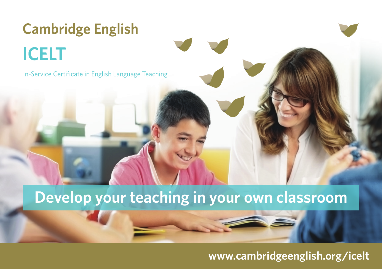## **Cambridge English ICELT**

In-Service Certificate in English Language Teaching

## **Develop your teaching in your own classroom**

## **www.cambridgeenglish.org/icelt**